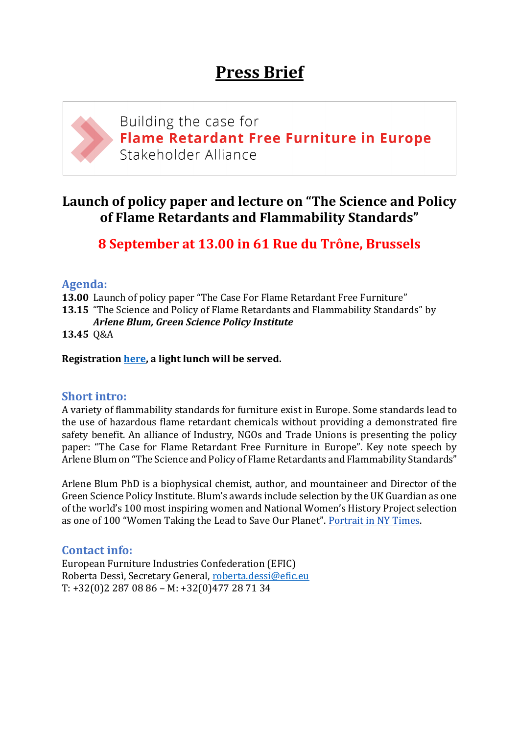

# **Launch of policy paper and lecture on "The Science and Policy of Flame Retardants and Flammability Standards"**

**8 September at 13.00 in 61 Rue du Trône, Brussels**

## **Agenda:**

**13.00** Launch of policy paper "The Case For Flame Retardant Free Furniture"

**13.15** "The Science and Policy of Flame Retardants and Flammability Standards" by *Arlene Blum, Green Science Policy Institute*

**13.45** Q&A

#### **Registration [here,](https://goo.gl/forms/MQZcyhhL7XjTybr73) a light lunch will be served.**

### **Short intro:**

A variety of flammability standards for furniture exist in Europe. Some standards lead to the use of hazardous flame retardant chemicals without providing a demonstrated fire safety benefit. An alliance of Industry, NGOs and Trade Unions is presenting the policy paper: "The Case for Flame Retardant Free Furniture in Europe". Key note speech by Arlene Blum on "The Science and Policy of Flame Retardants and Flammability Standards"

Arlene Blum PhD is a biophysical chemist, author, and mountaineer and Director of the Green Science Policy Institute. Blum's awards include selection by the UK Guardian as one of the world's 100 most inspiring women and National Women's History Project selection as one of 100 "Women Taking the Lead to Save Our Planet". [Portrait in NY Times.](http://www.nytimes.com/2012/09/09/magazine/arlene-blums-crusade-against-household-toxins.html?_r=1)

## **Contact info:**

European Furniture Industries Confederation (EFIC) Roberta Dessì, Secretary General, [roberta.dessi@efic.eu](mailto:roberta.dessi@efic.eu) T: +32(0)2 287 08 86 – M: +32(0)477 28 71 34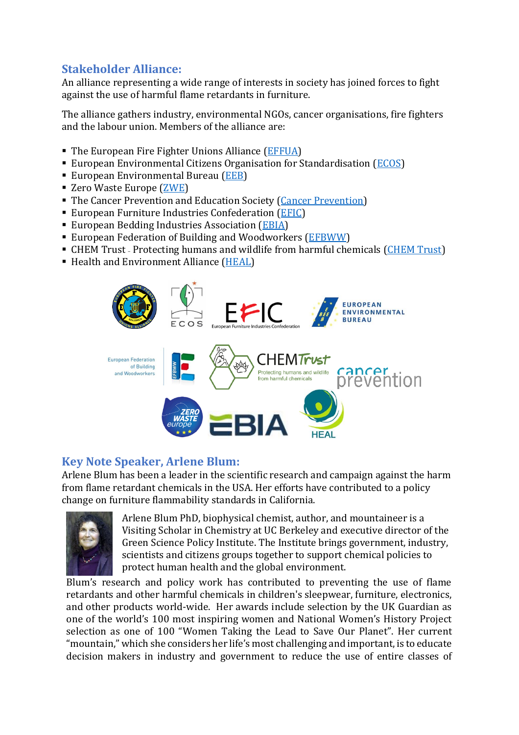## **Stakeholder Alliance:**

An alliance representing a wide range of interests in society has joined forces to fight against the use of harmful flame retardants in furniture.

The alliance gathers industry, environmental NGOs, cancer organisations, fire fighters and the labour union. Members of the alliance are:

- The European Fire Fighter Unions Alliance [\(EFFUA\)](http://www.effua.org/)
- **European Environmental Citizens Organisation for Standardisation [\(ECOS\)](http://ecostandard.org/)**
- European Environmental Bureau [\(EEB\)](http://www.eeb.org/)
- Zero Waste Europe [\(ZWE\)](https://www.zerowasteeurope.eu/)
- The Cancer Prevention and Education Society [\(Cancer Prevention\)](http://www.cancerpreventionsociety.org/)
- European Furniture Industries Confederation [\(EFIC\)](http://www.efic.eu/)
- **European Bedding Industries Association [\(EBIA\)](http://www.europeanbedding.eu/)**
- European Federation of Building and Woodworkers [\(EFBWW\)](http://www.efbww.org/default.asp?Language=EN)
- CHEM Trust Protecting humans and wildlife from harmful chemicals [\(CHEM Trust\)](http://www.chemtrust.org.uk/)
- Health and Environment Alliance [\(HEAL\)](http://www.env-health.org/)



### **Key Note Speaker, Arlene Blum:**

Arlene Blum has been a leader in the scientific research and campaign against the harm from flame retardant chemicals in the USA. Her efforts have contributed to a policy change on furniture flammability standards in California.



Arlene Blum PhD, biophysical chemist, author, and mountaineer is a Visiting Scholar in Chemistry at UC Berkeley and executive director of the Green Science Policy Institute. The Institute brings government, industry, scientists and citizens groups together to support chemical policies to protect human health and the global environment.

Blum's research and policy work has contributed to preventing the use of flame retardants and other harmful chemicals in children's sleepwear, furniture, electronics, and other products world-wide. Her awards include selection by the UK Guardian as one of the world's 100 most inspiring women and National Women's History Project selection as one of 100 "Women Taking the Lead to Save Our Planet". Her current "mountain," which she considers her life's most challenging and important, is to educate decision makers in industry and government to reduce the use of entire classes of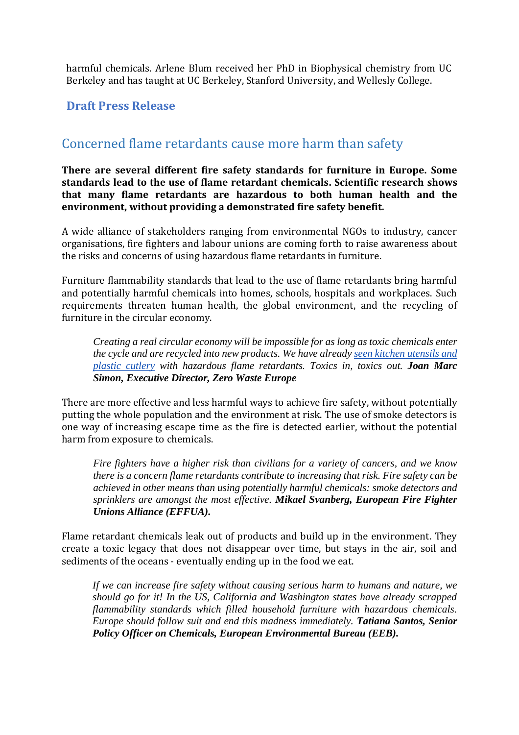harmful chemicals. Arlene Blum received her PhD in Biophysical chemistry from UC Berkeley and has taught at UC Berkeley, Stanford University, and Wellesly College.

#### **Draft Press Release**

# Concerned flame retardants cause more harm than safety

**There are several different fire safety standards for furniture in Europe. Some standards lead to the use of flame retardant chemicals. Scientific research shows that many flame retardants are hazardous to both human health and the environment, without providing a demonstrated fire safety benefit.** 

A wide alliance of stakeholders ranging from environmental NGOs to industry, cancer organisations, fire fighters and labour unions are coming forth to raise awareness about the risks and concerns of using hazardous flame retardants in furniture.

Furniture flammability standards that lead to the use of flame retardants bring harmful and potentially harmful chemicals into homes, schools, hospitals and workplaces. Such requirements threaten human health, the global environment, and the recycling of furniture in the circular economy.

*Creating a real circular economy will be impossible for as long as toxic chemicals enter the cycle and are recycled into new products. We have already [seen kitchen utensils and](http://www.ncbi.nlm.nih.gov/pubmed/?term=occurrence+brominated+flame+retardants+black+thermo+cups)  [plastic cutlery](http://www.ncbi.nlm.nih.gov/pubmed/?term=occurrence+brominated+flame+retardants+black+thermo+cups) with hazardous flame retardants. Toxics in, toxics out. Joan Marc Simon, Executive Director, Zero Waste Europe*

There are more effective and less harmful ways to achieve fire safety, without potentially putting the whole population and the environment at risk. The use of smoke detectors is one way of increasing escape time as the fire is detected earlier, without the potential harm from exposure to chemicals.

*Fire fighters have a higher risk than civilians for a variety of cancers, and we know there is a concern flame retardants contribute to increasing that risk. Fire safety can be achieved in other means than using potentially harmful chemicals: smoke detectors and sprinklers are amongst the most effective. Mikael Svanberg, European Fire Fighter Unions Alliance (EFFUA).*

Flame retardant chemicals leak out of products and build up in the environment. They create a toxic legacy that does not disappear over time, but stays in the air, soil and sediments of the oceans - eventually ending up in the food we eat.

*If we can increase fire safety without causing serious harm to humans and nature, we should go for it! In the US, California and Washington states have already scrapped flammability standards which filled household furniture with hazardous chemicals. Europe should follow suit and end this madness immediately. Tatiana Santos, Senior Policy Officer on Chemicals, European Environmental Bureau (EEB).*